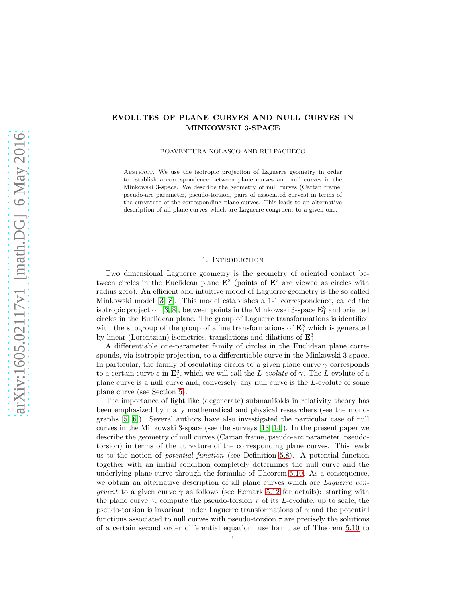# EVOLUTES OF PLANE CURVES AND NULL CURVES IN MINKOWSKI 3-SPACE

BOAVENTURA NOLASCO AND RUI PACHECO

Abstract. We use the isotropic projection of Laguerre geometry in order to establish a correspondence between plane curves and null curves in the Minkowski 3-space. We describe the geometry of null curves (Cartan frame, pseudo-arc parameter, pseudo-torsion, pairs of associated curves) in terms of the curvature of the corresponding plane curves. This leads to an alternative description of all plane curves which are Laguerre congruent to a given one.

#### 1. INTRODUCTION

Two dimensional Laguerre geometry is the geometry of oriented contact between circles in the Euclidean plane  $\mathbf{E}^2$  (points of  $\mathbf{E}^2$  are viewed as circles with radius zero). An efficient and intuitive model of Laguerre geometry is the so called Minkowski model [\[3,](#page-16-0) [8\]](#page-17-0). This model establishes a 1-1 correspondence, called the isotropic projection [\[3,](#page-16-0) [8\]](#page-17-0), between points in the Minkowski 3-space  $\mathbf{E}^3_1$  and oriented circles in the Euclidean plane. The group of Laguerre transformations is identified with the subgroup of the group of affine transformations of  $\mathbf{E}_1^3$  which is generated by linear (Lorentzian) isometries, translations and dilations of  $\mathbf{E}_1^3$ .

A differentiable one-parameter family of circles in the Euclidean plane corresponds, via isotropic projection, to a differentiable curve in the Minkowski 3-space. In particular, the family of osculating circles to a given plane curve  $\gamma$  corresponds to a certain curve  $\varepsilon$  in  $\mathbf{E}_1^3$ , which we will call the L-evolute of  $\gamma$ . The L-evolute of a plane curve is a null curve and, conversely, any null curve is the L-evolute of some plane curve (see Section [5\)](#page-3-0).

The importance of light like (degenerate) submanifolds in relativity theory has been emphasized by many mathematical and physical researchers (see the monographs [\[5,](#page-16-1) [6\]](#page-16-2)). Several authors have also investigated the particular case of null curves in the Minkowski 3-space (see the surveys [\[13,](#page-17-1) [14\]](#page-17-2)). In the present paper we describe the geometry of null curves (Cartan frame, pseudo-arc parameter, pseudotorsion) in terms of the curvature of the corresponding plane curves. This leads us to the notion of potential function (see Definition [5.8\)](#page-5-0). A potential function together with an initial condition completely determines the null curve and the underlying plane curve through the formulae of Theorem [5.10.](#page-6-0) As a consequence, we obtain an alternative description of all plane curves which are *Laguerre con*gruent to a given curve  $\gamma$  as follows (see Remark [5.12](#page-8-0) for details): starting with the plane curve  $\gamma$ , compute the pseudo-torsion  $\tau$  of its L-evolute; up to scale, the pseudo-torsion is invariant under Laguerre transformations of  $\gamma$  and the potential functions associated to null curves with pseudo-torsion  $\tau$  are precisely the solutions of a certain second order differential equation; use formulae of Theorem [5.10](#page-6-0) to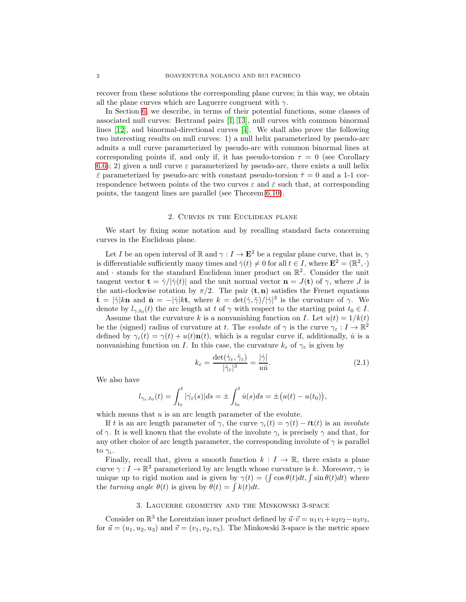recover from these solutions the corresponding plane curves; in this way, we obtain all the plane curves which are Laguerre congruent with  $\gamma$ .

In Section [6,](#page-12-0) we describe, in terms of their potential functions, some classes of associated null curves: Bertrand pairs [\[1,](#page-16-3) [13\]](#page-17-1), null curves with common binormal lines [\[12\]](#page-17-3), and binormal-directional curves [\[4\]](#page-16-4). We shall also prove the following two interesting results on null curves: 1) a null helix parameterized by pseudo-arc admits a null curve parameterized by pseudo-arc with common binormal lines at corresponding points if, and only if, it has pseudo-torsion  $\tau = 0$  (see Corollary [6.6\)](#page-15-0); 2) given a null curve  $\varepsilon$  parameterized by pseudo-arc, there exists a null helix  $\bar{\varepsilon}$  parameterized by pseudo-arc with constant pseudo-torsion  $\bar{\tau} = 0$  and a 1-1 correspondence between points of the two curves  $\varepsilon$  and  $\bar{\varepsilon}$  such that, at corresponding points, the tangent lines are parallel (see Theorem [6.10\)](#page-16-5).

#### 2. Curves in the Euclidean plane

We start by fixing some notation and by recalling standard facts concerning curves in the Euclidean plane.

Let I be an open interval of R and  $\gamma : I \to \mathbf{E}^2$  be a regular plane curve, that is,  $\gamma$ is differentiable sufficiently many times and  $\dot{\gamma}(t) \neq 0$  for all  $t \in I$ , where  $\mathbf{E}^2 = (\mathbb{R}^2, \cdot)$ and  $\cdot$  stands for the standard Euclidean inner product on  $\mathbb{R}^2$ . Consider the unit tangent vector  $\mathbf{t} = \dot{\gamma}/|\dot{\gamma}(t)|$  and the unit normal vector  $\mathbf{n} = J(\mathbf{t})$  of  $\gamma$ , where J is the anti-clockwise rotation by  $\pi/2$ . The pair  $(\mathbf{t}, \mathbf{n})$  satisfies the Frenet equations  $\mathbf{t} = |\dot{\gamma}| k \mathbf{n}$  and  $\mathbf{n} = -|\dot{\gamma}| k \mathbf{t}$ , where  $k = \det(\dot{\gamma}, \ddot{\gamma})/|\dot{\gamma}|^3$  is the curvature of  $\gamma$ . We denote by  $l_{\gamma,t_0}(t)$  the arc length at t of  $\gamma$  with respect to the starting point  $t_0 \in I$ .

Assume that the curvature k is a nonvanishing function on I. Let  $u(t) = 1/k(t)$ be the (signed) radius of curvature at t. The evolute of  $\gamma$  is the curve  $\gamma_{\varepsilon}: I \to \mathbb{R}^2$ defined by  $\gamma_{\varepsilon}(t) = \gamma(t) + u(t)\mathbf{n}(t)$ , which is a regular curve if, additionally, *u* is a nonvanishing function on I. In this case, the curvature  $k_{\varepsilon}$  of  $\gamma_{\varepsilon}$  is given by

<span id="page-1-0"></span>
$$
k_{\varepsilon} = \frac{\det(\dot{\gamma}_{\varepsilon}, \ddot{\gamma}_{\varepsilon})}{|\dot{\gamma}_{\varepsilon}|^3} = \frac{|\dot{\gamma}|}{u\dot{u}}.
$$
 (2.1)

We also have

$$
l_{\gamma_{\varepsilon},t_0}(t) = \int_{t_0}^t |\dot{\gamma_{\varepsilon}}(s)| ds = \pm \int_{t_0}^t \dot{u}(s) ds = \pm (u(t) - u(t_0)),
$$

which means that  $u$  is an arc length parameter of the evolute.

If t is an arc length parameter of  $\gamma$ , the curve  $\gamma_t(t) = \gamma(t) - t t(t)$  is an *involute* of  $\gamma$ . It is well known that the evolute of the involute  $\gamma_i$  is precisely  $\gamma$  and that, for any other choice of arc length parameter, the corresponding involute of  $\gamma$  is parallel to  $\gamma_{\iota}$ .

Finally, recall that, given a smooth function  $k : I \to \mathbb{R}$ , there exists a plane curve  $\gamma: I \to \mathbb{R}^2$  parameterized by arc length whose curvature is k. Moreover,  $\gamma$  is unique up to rigid motion and is given by  $\gamma(t) = \iint \cos \theta(t) dt$ ,  $\int \sin \theta(t) dt$  where the turning angle  $\theta(t)$  is given by  $\theta(t) = \int k(t)dt$ .

#### 3. Laguerre geometry and the Minkowski 3-space

Consider on  $\mathbb{R}^3$  the Lorentzian inner product defined by  $\vec{u} \cdot \vec{v} = u_1v_1 + u_2v_2 - u_3v_3$ , for  $\vec{u} = (u_1, u_2, u_3)$  and  $\vec{v} = (v_1, v_2, v_3)$ . The Minkowski 3-space is the metric space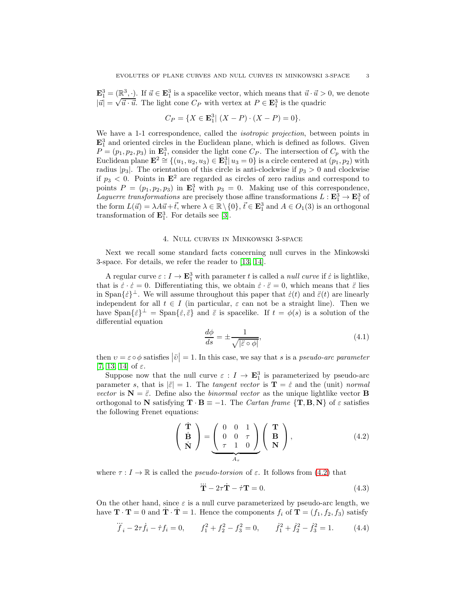$\mathbf{E}_1^3 = (\mathbb{R}^3, \cdot).$  If  $\vec{u} \in \mathbf{E}_1^3$  is a spacelike vector, which means that  $\vec{u} \cdot \vec{u} > 0$ , we denote  $|\vec{u}| = \sqrt{\vec{u} \cdot \vec{u}}$ . The light cone  $C_P$  with vertex at  $P \in \mathbf{E}_1^3$  is the quadric

$$
C_P = \{ X \in \mathbf{E}_1^3 | (X - P) \cdot (X - P) = 0 \}.
$$

We have a 1-1 correspondence, called the *isotropic projection*, between points in  $\mathbf{E}_1^3$  and oriented circles in the Euclidean plane, which is defined as follows. Given  $P = (p_1, p_2, p_3)$  in  $\mathbf{E}_1^3$ , consider the light cone  $C_P$ . The intersection of  $C_p$  with the Euclidean plane  $\mathbf{E}^2 \cong \{(u_1, u_2, u_3) \in \mathbf{E}_1^3 | u_3 = 0\}$  is a circle centered at  $(p_1, p_2)$  with radius  $|p_3|$ . The orientation of this circle is anti-clockwise if  $p_3 > 0$  and clockwise if  $p_3 < 0$ . Points in  $\mathbf{E}^2$  are regarded as circles of zero radius and correspond to points  $P = (p_1, p_2, p_3)$  in  $\mathbf{E}_1^3$  with  $p_3 = 0$ . Making use of this correspondence, Laguerre transformations are precisely those affine transformations  $L : \mathbf{E}_1^3 \to \mathbf{E}_1^3$  of the form  $L(\vec{u}) = \lambda A \vec{u} + \vec{t}$ , where  $\lambda \in \mathbb{R} \setminus \{0\}$ ,  $\vec{t} \in \mathbf{E}_1^3$  and  $A \in O_1(3)$  is an orthogonal transformation of  $\mathbf{E}_1^3$ . For details see [\[3\]](#page-16-0).

# 4. Null curves in Minkowski 3-space

<span id="page-2-2"></span>Next we recall some standard facts concerning null curves in the Minkowski 3-space. For details, we refer the reader to [\[13,](#page-17-1) [14\]](#page-17-2).

A regular curve  $\varepsilon: I \to \mathbf{E}_1^3$  with parameter t is called a *null curve* if  $\varepsilon$  is lightlike, that is  $\dot{\varepsilon} \cdot \dot{\varepsilon} = 0$ . Differentiating this, we obtain  $\dot{\varepsilon} \cdot \ddot{\varepsilon} = 0$ , which means that  $\ddot{\varepsilon}$  lies in Span $\{\varepsilon\}^{\perp}$ . We will assume throughout this paper that  $\varepsilon(t)$  and  $\tilde{\varepsilon}(t)$  are linearly independent for all  $t \in I$  (in particular,  $\varepsilon$  can not be a straight line). Then we have  $\text{Span}\{\varepsilon\}^{\perp} = \text{Span}\{\varepsilon, \varepsilon\}$  and  $\varepsilon$  is spacelike. If  $t = \phi(s)$  is a solution of the differential equation

<span id="page-2-1"></span>
$$
\frac{d\phi}{ds} = \pm \frac{1}{\sqrt{|\ddot{\varepsilon} \circ \phi|}},\tag{4.1}
$$

then  $v = \varepsilon \circ \phi$  satisfies  $|\ddot{v}| = 1$ . In this case, we say that s is a *pseudo-arc parameter* [\[7,](#page-16-6) [13,](#page-17-1) [14\]](#page-17-2) of  $\varepsilon$ .

Suppose now that the null curve  $\varepsilon : I \to \mathbf{E}_{1}^{3}$  is parameterized by pseudo-arc parameter s, that is  $|\ddot{\varepsilon}| = 1$ . The tangent vector is  $\mathbf{T} = \dot{\varepsilon}$  and the (unit) normal vector is  $N = \ddot{\varepsilon}$ . Define also the binormal vector as the unique lightlike vector **B** orthogonal to N satisfying  $\mathbf{T} \cdot \mathbf{B} = -1$ . The *Cartan frame*  $\{\mathbf{T}, \mathbf{B}, \mathbf{N}\}\$  of  $\varepsilon$  satisfies the following Frenet equations:

<span id="page-2-0"></span>
$$
\begin{pmatrix}\n\dot{\mathbf{T}} \\
\dot{\mathbf{B}} \\
\dot{\mathbf{N}}\n\end{pmatrix} = \underbrace{\begin{pmatrix}\n0 & 0 & 1 \\
0 & 0 & \tau \\
\tau & 1 & 0\n\end{pmatrix}}_{A_{\tau}} \begin{pmatrix}\n\mathbf{T} \\
\mathbf{B} \\
\mathbf{N}\n\end{pmatrix},
$$
\n(4.2)

where  $\tau: I \to \mathbb{R}$  is called the *pseudo-torsion* of  $\varepsilon$ . It follows from [\(4.2\)](#page-2-0) that

<span id="page-2-4"></span>
$$
\ddot{\mathbf{T}} - 2\tau \dot{\mathbf{T}} - \dot{\tau} \mathbf{T} = 0. \tag{4.3}
$$

On the other hand, since  $\varepsilon$  is a null curve parameterized by pseudo-arc length, we have  $\mathbf{T} \cdot \mathbf{T} = 0$  and  $\dot{\mathbf{T}} \cdot \dot{\mathbf{T}} = 1$ . Hence the components  $f_i$  of  $\dot{\mathbf{T}} = (f_1, f_2, f_3)$  satisfy

<span id="page-2-3"></span>
$$
\dddot{f}_i - 2\tau \dot{f}_i - \dot{\tau} f_i = 0, \qquad f_1^2 + f_2^2 - f_3^2 = 0, \qquad \dot{f}_1^2 + \dot{f}_2^2 - \dot{f}_3^2 = 1. \tag{4.4}
$$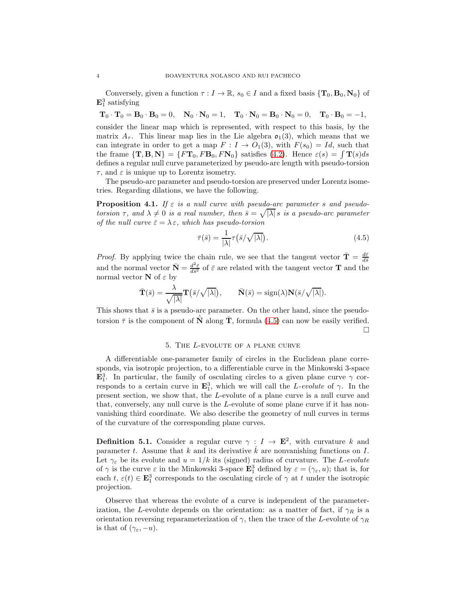Conversely, given a function  $\tau : I \to \mathbb{R}$ ,  $s_0 \in I$  and a fixed basis  $\{T_0, B_0, N_0\}$  of  $\mathbf{E}_1^3$  satisfying

 $\mathbf{T}_0 \cdot \mathbf{T}_0 = \mathbf{B}_0 \cdot \mathbf{B}_0 = 0$ ,  $\mathbf{N}_0 \cdot \mathbf{N}_0 = 1$ ,  $\mathbf{T}_0 \cdot \mathbf{N}_0 = \mathbf{B}_0 \cdot \mathbf{N}_0 = 0$ ,  $\mathbf{T}_0 \cdot \mathbf{B}_0 = -1$ , consider the linear map which is represented, with respect to this basis, by the matrix  $A_{\tau}$ . This linear map lies in the Lie algebra  $\mathfrak{o}_1(3)$ , which means that we can integrate in order to get a map  $F: I \to O_1(3)$ , with  $F(s_0) = Id$ , such that the frame  ${\bf T, B, N} = \{F{\bf T}_0, F{\bf B}_0, F{\bf N}_0\}$  satisfies [\(4.2\)](#page-2-0). Hence  $\varepsilon(s) = \int {\bf T}(s)ds$ defines a regular null curve parameterized by pseudo-arc length with pseudo-torsion  $\tau$ , and  $\varepsilon$  is unique up to Lorentz isometry.

The pseudo-arc parameter and pseudo-torsion are preserved under Lorentz isometries. Regarding dilations, we have the following.

**Proposition 4.1.** If  $\varepsilon$  is a null curve with pseudo-arc parameter s and pseudotorsion  $\tau$ , and  $\lambda \neq 0$  is a real number, then  $\bar{s} = \sqrt{|\lambda|} s$  is a pseudo-arc parameter of the null curve  $\bar{\varepsilon} = \lambda \varepsilon$ , which has pseudo-torsion

<span id="page-3-1"></span>
$$
\bar{\tau}(\bar{s}) = \frac{1}{|\lambda|} \tau(\bar{s}/\sqrt{|\lambda|}). \tag{4.5}
$$

*Proof.* By applying twice the chain rule, we see that the tangent vector  $\bar{\mathbf{T}} = \frac{d\bar{\varepsilon}}{d\bar{s}}$ and the normal vector  $\bar{\mathbf{N}} = \frac{d^2 \bar{\varepsilon}}{d \bar{s}^2}$  of  $\bar{\varepsilon}$  are related with the tangent vector **T** and the normal vector  $N$  of  $\varepsilon$  by

$$
\bar{\mathbf{T}}(\bar{s}) = \frac{\lambda}{\sqrt{|\lambda|}} \mathbf{T}(\bar{s}/\sqrt{|\lambda|}), \qquad \bar{\mathbf{N}}(\bar{s}) = \text{sign}(\lambda) \mathbf{N}(\bar{s}/\sqrt{|\lambda|}).
$$

This shows that  $\bar{s}$  is a pseudo-arc parameter. On the other hand, since the pseudotorsion  $\bar{\tau}$  is the component of  $\dot{\mathbf{N}}$  along  $\bar{\mathbf{T}}$ , formula [\(4.5\)](#page-3-1) can now be easily verified.  $\Box$ 

#### 5. The L-evolute of a plane curve

<span id="page-3-0"></span>A differentiable one-parameter family of circles in the Euclidean plane corresponds, via isotropic projection, to a differentiable curve in the Minkowski 3-space  $\mathbf{E}_1^3$ . In particular, the family of osculating circles to a given plane curve  $\gamma$  corresponds to a certain curve in  $\mathbf{E}_1^3$ , which we will call the *L*-evolute of  $\gamma$ . In the present section, we show that, the L-evolute of a plane curve is a null curve and that, conversely, any null curve is the L-evolute of some plane curve if it has nonvanishing third coordinate. We also describe the geometry of null curves in terms of the curvature of the corresponding plane curves.

<span id="page-3-2"></span>**Definition 5.1.** Consider a regular curve  $\gamma: I \to \mathbf{E}^2$ , with curvature k and parameter t. Assume that k and its derivative  $\vec{k}$  are nonvanishing functions on I. Let  $\gamma_{\varepsilon}$  be its evolute and  $u = 1/k$  its (signed) radius of curvature. The L-evolute of  $\gamma$  is the curve  $\varepsilon$  in the Minkowski 3-space  $\mathbf{E}_1^3$  defined by  $\varepsilon = (\gamma_{\varepsilon}, u)$ ; that is, for each  $t, \varepsilon(t) \in \mathbf{E}_1^3$  corresponds to the osculating circle of  $\gamma$  at t under the isotropic projection.

Observe that whereas the evolute of a curve is independent of the parameterization, the L-evolute depends on the orientation: as a matter of fact, if  $\gamma_R$  is a orientation reversing reparameterization of  $\gamma$ , then the trace of the L-evolute of  $\gamma_R$ is that of  $(\gamma_{\varepsilon}, -u)$ .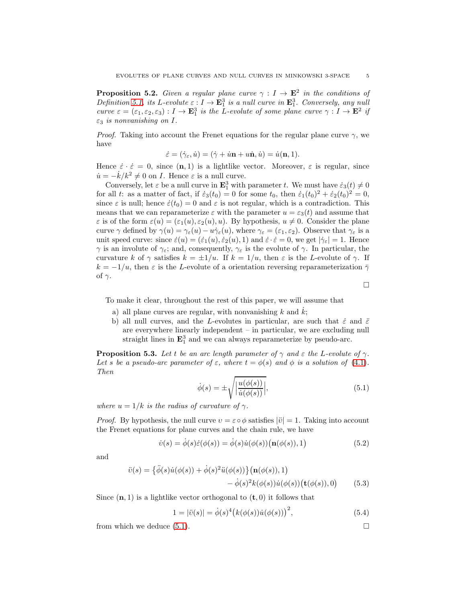<span id="page-4-4"></span>**Proposition 5.2.** Given a regular plane curve  $\gamma : I \to \mathbf{E}^2$  in the conditions of Definition [5.1,](#page-3-2) its L-evolute  $\varepsilon : I \to \mathbf{E}_1^3$  is a null curve in  $\mathbf{E}_1^3$ . Conversely, any null curve  $\varepsilon = (\varepsilon_1, \varepsilon_2, \varepsilon_3) : I \to \mathbf{E}_1^3$  is the L-evolute of some plane curve  $\gamma : I \to \mathbf{E}^2$  if  $\varepsilon_3$  is nonvanishing on I.

*Proof.* Taking into account the Frenet equations for the regular plane curve  $\gamma$ , we have

$$
\dot{\varepsilon} = (\dot{\gamma}_{\varepsilon}, \dot{u}) = (\dot{\gamma} + \dot{u}\mathbf{n} + u\dot{\mathbf{n}}, \dot{u}) = \dot{u}(\mathbf{n}, 1).
$$

Hence  $\dot{\varepsilon} \cdot \dot{\varepsilon} = 0$ , since  $(n, 1)$  is a lightlike vector. Moreover,  $\varepsilon$  is regular, since  $\dot{u} = -\dot{k}/k^2 \neq 0$  on *I*. Hence  $\varepsilon$  is a null curve.

Conversely, let  $\varepsilon$  be a null curve in  $\mathbf{E}_1^3$  with parameter t. We must have  $\dot{\varepsilon}_3(t) \neq 0$ for all t: as a matter of fact, if  $\dot{\varepsilon}_3(t_0) = 0$  for some  $t_0$ , then  $\dot{\varepsilon}_1(t_0)^2 + \dot{\varepsilon}_2(t_0)^2 = 0$ , since  $\varepsilon$  is null; hence  $\dot{\varepsilon}(t_0) = 0$  and  $\varepsilon$  is not regular, which is a contradiction. This means that we can reparameterize  $\varepsilon$  with the parameter  $u = \varepsilon_3(t)$  and assume that  $\varepsilon$  is of the form  $\varepsilon(u) = (\varepsilon_1(u), \varepsilon_2(u), u)$ . By hypothesis,  $u \neq 0$ . Consider the plane curve  $\gamma$  defined by  $\gamma(u) = \gamma_{\varepsilon}(u) - u\dot{\gamma}_{\varepsilon}(u)$ , where  $\gamma_{\varepsilon} = (\varepsilon_1, \varepsilon_2)$ . Observe that  $\gamma_{\varepsilon}$  is a unit speed curve: since  $\dot{\varepsilon}(u) = (\dot{\varepsilon}_1(u), \dot{\varepsilon}_2(u), 1)$  and  $\dot{\varepsilon} \cdot \dot{\varepsilon} = 0$ , we get  $|\dot{\gamma}_{\varepsilon}| = 1$ . Hence  $\gamma$  is an involute of  $\gamma_{\varepsilon}$ ; and, consequently,  $\gamma_{\varepsilon}$  is the evolute of  $\gamma$ . In particular, the curvature k of  $\gamma$  satisfies  $k = \pm 1/u$ . If  $k = 1/u$ , then  $\varepsilon$  is the L-evolute of  $\gamma$ . If  $k = -1/u$ , then  $\varepsilon$  is the L-evolute of a orientation reversing reparameterization  $\bar{\gamma}$ of  $\gamma$ .

 $\Box$ 

To make it clear, throughout the rest of this paper, we will assume that

- a) all plane curves are regular, with nonvanishing  $k$  and  $k$ ;
- b) all null curves, and the L-evolutes in particular, are such that  $\dot{\varepsilon}$  and  $\ddot{\varepsilon}$ are everywhere linearly independent – in particular, we are excluding null straight lines in  $\mathbf{E}_1^3$  and we can always reparameterize by pseudo-arc.

**Proposition 5.3.** Let t be an arc length parameter of  $\gamma$  and  $\varepsilon$  the L-evolute of  $\gamma$ . Let s be a pseudo-arc parameter of  $\varepsilon$ , where  $t = \phi(s)$  and  $\phi$  is a solution of [\(4.1\)](#page-2-1). Then

<span id="page-4-0"></span>
$$
\dot{\phi}(s) = \pm \sqrt{\left| \frac{u(\phi(s))}{\dot{u}(\phi(s))} \right|},\tag{5.1}
$$

where  $u = 1/k$  is the radius of curvature of  $\gamma$ .

*Proof.* By hypothesis, the null curve  $v = \varepsilon \circ \phi$  satisfies  $|\ddot{v}| = 1$ . Taking into account the Frenet equations for plane curves and the chain rule, we have

<span id="page-4-1"></span>
$$
\dot{v}(s) = \dot{\phi}(s)\dot{\varepsilon}(\phi(s)) = \dot{\phi}(s)\dot{u}(\phi(s))(\mathbf{n}(\phi(s)), 1)
$$
\n(5.2)

and

$$
\ddot{v}(s) = \{\ddot{\phi}(s)\dot{u}(\phi(s)) + \dot{\phi}(s)^2 \ddot{u}(\phi(s))\} (\mathbf{n}(\phi(s)), 1) \n- \dot{\phi}(s)^2 k(\phi(s))\dot{u}(\phi(s)) (\mathbf{t}(\phi(s)), 0)
$$
\n(5.3)

Since  $(n, 1)$  is a lightlike vector orthogonal to  $(t, 0)$  it follows that

<span id="page-4-3"></span><span id="page-4-2"></span>
$$
1 = |\ddot{v}(s)| = \dot{\phi}(s)^{4} (k(\phi(s))\dot{u}(\phi(s)))^{2},
$$
\n(5.4)

from which we deduce  $(5.1)$ .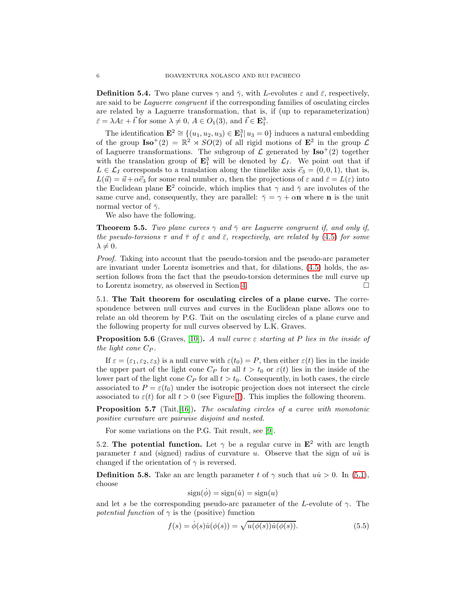**Definition 5.4.** Two plane curves  $\gamma$  and  $\bar{\gamma}$ , with L-evolutes  $\varepsilon$  and  $\bar{\varepsilon}$ , respectively, are said to be Laguerre congruent if the corresponding families of osculating circles are related by a Laguerre transformation, that is, if (up to reparameterization)  $\bar{\varepsilon} = \lambda A \varepsilon + \vec{t}$  for some  $\lambda \neq 0, A \in O_1(3)$ , and  $\vec{t} \in \mathbf{E}_1^3$ .

The identification  $\mathbf{E}^2 \cong \{(u_1, u_2, u_3) \in \mathbf{E}_1^3 | u_3 = 0\}$  induces a natural embedding of the group  $\text{Iso}^+(2) = \mathbb{R}^2 \rtimes SO(2)$  of all rigid motions of  $\mathbf{E}^2$  in the group  $\mathcal{L}$ of Laguerre transformations. The subgroup of  $\mathcal L$  generated by  $\text{Iso}^{+}(2)$  together with the translation group of  $\mathbf{E}_1^3$  will be denoted by  $\mathcal{L}_I$ . We point out that if  $L \in \mathcal{L}_I$  corresponds to a translation along the timelike axis  $\vec{e}_3 = (0, 0, 1)$ , that is,  $L(\vec{u}) = \vec{u} + \alpha \vec{e}_3$  for some real number  $\alpha$ , then the projections of  $\varepsilon$  and  $\bar{\varepsilon} = L(\varepsilon)$  into the Euclidean plane  $\mathbf{E}^2$  coincide, which implies that  $\gamma$  and  $\bar{\gamma}$  are involutes of the same curve and, consequently, they are parallel:  $\bar{\gamma} = \gamma + \alpha n$  where n is the unit normal vector of  $\bar{\gamma}$ .

We also have the following.

<span id="page-5-2"></span>**Theorem 5.5.** Two plane curves  $\gamma$  and  $\bar{\gamma}$  are Laguerre congruent if, and only if, the pseudo-torsions  $\tau$  and  $\bar{\tau}$  of  $\varepsilon$  and  $\bar{\varepsilon}$ , respectively, are related by [\(4.5\)](#page-3-1) for some  $\lambda \neq 0$ .

Proof. Taking into account that the pseudo-torsion and the pseudo-arc parameter are invariant under Lorentz isometries and that, for dilations, [\(4.5\)](#page-3-1) holds, the assertion follows from the fact that the pseudo-torsion determines the null curve up to Lorentz isometry, as observed in Section [4.](#page-2-2)

5.1. The Tait theorem for osculating circles of a plane curve. The correspondence between null curves and curves in the Euclidean plane allows one to relate an old theorem by P.G. Tait on the osculating circles of a plane curve and the following property for null curves observed by L.K. Graves.

**Proposition 5.6** (Graves, [\[10\]](#page-17-4)). A null curve  $\varepsilon$  starting at P lies in the inside of the light cone  $C_P$ .

If  $\varepsilon = (\varepsilon_1, \varepsilon_2, \varepsilon_3)$  is a null curve with  $\varepsilon(t_0) = P$ , then either  $\varepsilon(t)$  lies in the inside the upper part of the light cone  $C_P$  for all  $t > t_0$  or  $\varepsilon(t)$  lies in the inside of the lower part of the light cone  $C_P$  for all  $t > t_0$ . Consequently, in both cases, the circle associated to  $P = \varepsilon(t_0)$  under the isotropic projection does not intersect the circle associated to  $\varepsilon(t)$  for all  $t > 0$  (see Figure [1\)](#page-6-1). This implies the following theorem.

**Proposition 5.7** (Tait, [\[16\]](#page-17-5)). The osculating circles of a curve with monotonic positive curvature are pairwise disjoint and nested.

For some variations on the P.G. Tait result, see [\[9\]](#page-17-6).

5.2. The potential function. Let  $\gamma$  be a regular curve in  $\mathbf{E}^2$  with arc length parameter t and (signed) radius of curvature u. Observe that the sign of  $u\dot{u}$  is changed if the orientation of  $\gamma$  is reversed.

<span id="page-5-0"></span>**Definition 5.8.** Take an arc length parameter t of  $\gamma$  such that  $u\dot{u} > 0$ . In [\(5.1\)](#page-4-0), choose

$$
sign(\dot{\phi}) = sign(\dot{u}) = sign(u)
$$

and let s be the corresponding pseudo-arc parameter of the L-evolute of  $\gamma$ . The potential function of  $\gamma$  is the (positive) function

<span id="page-5-1"></span>
$$
f(s) = \dot{\phi}(s)\dot{u}(\phi(s)) = \sqrt{u(\phi(s))\dot{u}(\phi(s))}.
$$
\n(5.5)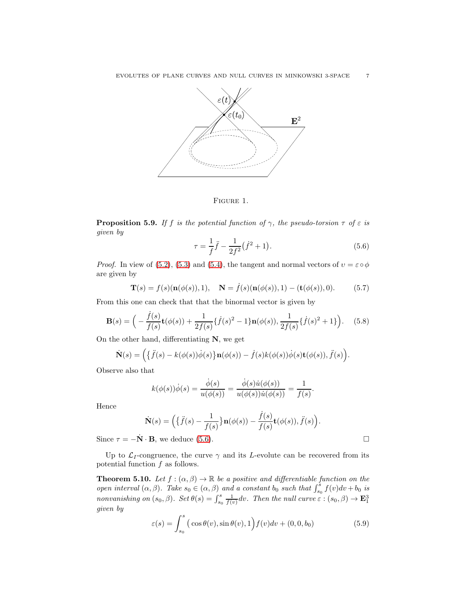

<span id="page-6-1"></span>FIGURE 1.

**Proposition 5.9.** If f is the potential function of  $\gamma$ , the pseudo-torsion  $\tau$  of  $\varepsilon$  is given by

<span id="page-6-2"></span>
$$
\tau = \frac{1}{f}\ddot{f} - \frac{1}{2f^2}(\dot{f}^2 + 1). \tag{5.6}
$$

*Proof.* In view of [\(5.2\)](#page-4-1), [\(5.3\)](#page-4-2) and [\(5.4\)](#page-4-3), the tangent and normal vectors of  $v = \varepsilon \circ \phi$ are given by

<span id="page-6-4"></span>
$$
\mathbf{T}(s) = f(s)(\mathbf{n}(\phi(s)), 1), \quad \mathbf{N} = \dot{f}(s)(\mathbf{n}(\phi(s)), 1) - (\mathbf{t}(\phi(s)), 0). \tag{5.7}
$$

From this one can check that that the binormal vector is given by

<span id="page-6-5"></span>
$$
\mathbf{B}(s) = \Big( -\frac{\dot{f}(s)}{f(s)} \mathbf{t}(\phi(s)) + \frac{1}{2f(s)} \{ \dot{f}(s)^2 - 1 \} \mathbf{n}(\phi(s)), \frac{1}{2f(s)} \{ \dot{f}(s)^2 + 1 \} \Big). \tag{5.8}
$$

On the other hand, differentiating  $N$ , we get

$$
\dot{\mathbf{N}}(s) = \Big(\big\{\ddot{f}(s) - k(\phi(s))\dot{\phi}(s)\big\}\mathbf{n}(\phi(s)) - \dot{f}(s)k(\phi(s))\dot{\phi}(s)\mathbf{t}(\phi(s)), \ddot{f}(s)\Big).
$$

Observe also that

$$
k(\phi(s))\dot{\phi}(s)=\frac{\dot{\phi}(s)}{u(\phi(s))}=\frac{\dot{\phi}(s)\dot{u}(\phi(s))}{u(\phi(s))\dot{u}(\phi(s))}=\frac{1}{f(s)}.
$$

Hence

$$
\dot{\mathbf{N}}(s) = \Big(\big\{\ddot{f}(s) - \frac{1}{f(s)}\big\}\mathbf{n}(\phi(s)) - \frac{\dot{f}(s)}{f(s)}\mathbf{t}(\phi(s)), \ddot{f}(s)\Big).
$$

Since  $\tau = -\dot{\mathbf{N}} \cdot \mathbf{B}$ , we deduce [\(5.6\)](#page-6-2).

Up to  $\mathcal{L}_I$ -congruence, the curve  $\gamma$  and its L-evolute can be recovered from its potential function  $f$  as follows.

<span id="page-6-0"></span>**Theorem 5.10.** Let  $f:(\alpha,\beta) \to \mathbb{R}$  be a positive and differentiable function on the open interval  $(\alpha, \beta)$ . Take  $s_0 \in (\alpha, \beta)$  and a constant  $b_0$  such that  $\int_{s_0}^{s} f(v)dv + b_0$  is nonvanishing on  $(s_0, \beta)$ . Set  $\theta(s) = \int_{s_0}^{s} \frac{1}{f(v)} dv$ . Then the null curve  $\varepsilon : (s_0, \beta) \to \mathbf{E}_1^3$ given by

<span id="page-6-3"></span>
$$
\varepsilon(s) = \int_{s_0}^s \left( \cos \theta(v), \sin \theta(v), 1 \right) f(v) dv + (0, 0, b_0)
$$
\n(5.9)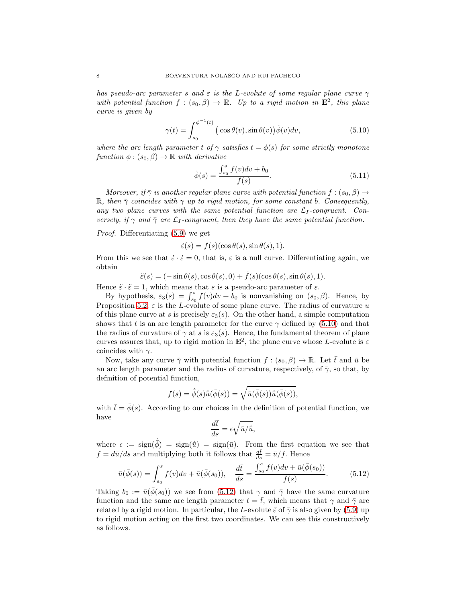has pseudo-arc parameter s and  $\varepsilon$  is the L-evolute of some regular plane curve  $\gamma$ with potential function  $f:(s_0,\beta)\to\mathbb{R}$ . Up to a rigid motion in  $\mathbf{E}^2$ , this plane curve is given by

<span id="page-7-0"></span>
$$
\gamma(t) = \int_{s_0}^{\phi^{-1}(t)} \left( \cos \theta(v), \sin \theta(v) \right) \dot{\phi}(v) dv,
$$
\n(5.10)

where the arc length parameter t of  $\gamma$  satisfies  $t = \phi(s)$  for some strictly monotone function  $\phi$  :  $(s_0, \beta) \rightarrow \mathbb{R}$  with derivative

<span id="page-7-2"></span>
$$
\phi(s) = \frac{\int_{s_0}^{s} f(v)dv + b_0}{f(s)}.
$$
\n(5.11)

Moreover, if  $\bar{\gamma}$  is another regular plane curve with potential function  $f : (s_0, \beta) \rightarrow$ R, then  $\bar{\gamma}$  coincides with  $\gamma$  up to rigid motion, for some constant b. Consequently, any two plane curves with the same potential function are  $\mathcal{L}_I$ -congruent. Conversely, if  $\gamma$  and  $\bar{\gamma}$  are  $\mathcal{L}_I$ -congruent, then they have the same potential function.

Proof. Differentiating [\(5.9\)](#page-6-3) we get

$$
\dot{\varepsilon}(s) = f(s)(\cos \theta(s), \sin \theta(s), 1).
$$

From this we see that  $\dot{\varepsilon} \cdot \dot{\varepsilon} = 0$ , that is,  $\varepsilon$  is a null curve. Differentiating again, we obtain

$$
\ddot{\varepsilon}(s) = (-\sin\theta(s), \cos\theta(s), 0) + \dot{f}(s)(\cos\theta(s), \sin\theta(s), 1).
$$

Hence  $\ddot{\varepsilon} \cdot \ddot{\varepsilon} = 1$ , which means that s is a pseudo-arc parameter of  $\varepsilon$ .

By hypothesis,  $\varepsilon_3(s) = \int_{s_0}^s f(v)dv + b_0$  is nonvanishing on  $(s_0, \beta)$ . Hence, by Proposition [5.2,](#page-4-4)  $\varepsilon$  is the L-evolute of some plane curve. The radius of curvature u of this plane curve at s is precisely  $\varepsilon_3(s)$ . On the other hand, a simple computation shows that t is an arc length parameter for the curve  $\gamma$  defined by [\(5.10\)](#page-7-0) and that the radius of curvature of  $\gamma$  at s is  $\varepsilon_3(s)$ . Hence, the fundamental theorem of plane curves assures that, up to rigid motion in  $\mathbf{E}^2$ , the plane curve whose L-evolute is  $\varepsilon$ coincides with  $\gamma$ .

Now, take any curve  $\bar{\gamma}$  with potential function  $f : (s_0, \beta) \to \mathbb{R}$ . Let  $\bar{t}$  and  $\bar{u}$  be an arc length parameter and the radius of curvature, respectively, of  $\bar{\gamma}$ , so that, by definition of potential function,

$$
f(s) = \dot{\overline{\phi}}(s)\overline{\dot{u}}(\overline{\phi}(s)) = \sqrt{\overline{u}(\overline{\phi}(s))\dot{u}(\overline{\phi}(s))},
$$

with  $\bar{t} = \bar{\phi}(s)$ . According to our choices in the definition of potential function, we have

$$
\frac{d\bar{t}}{ds} = \epsilon \sqrt{\bar{u}/\dot{\bar{u}}},
$$

where  $\epsilon := \text{sign}(\bar{\phi}) = \text{sign}(\bar{u}) = \text{sign}(\bar{u})$ . From the first equation we see that  $f = d\bar{u}/ds$  and multiplying both it follows that  $\frac{d\bar{t}}{ds} = \bar{u}/f$ . Hence

<span id="page-7-1"></span>
$$
\bar{u}(\bar{\phi}(s)) = \int_{s_0}^s f(v)dv + \bar{u}(\bar{\phi}(s_0)), \quad \frac{d\bar{t}}{ds} = \frac{\int_{s_0}^s f(v)dv + \bar{u}(\bar{\phi}(s_0))}{f(s)}.
$$
\n(5.12)

Taking  $b_0 := \bar{u}(\bar{\phi}(s_0))$  we see from [\(5.12\)](#page-7-1) that  $\gamma$  and  $\bar{\gamma}$  have the same curvature function and the same arc length parameter  $t = \bar{t}$ , which means that  $\gamma$  and  $\bar{\gamma}$  are related by a rigid motion. In particular, the L-evolute  $\bar{\varepsilon}$  of  $\bar{\gamma}$  is also given by [\(5.9\)](#page-6-3) up to rigid motion acting on the first two coordinates. We can see this constructively as follows.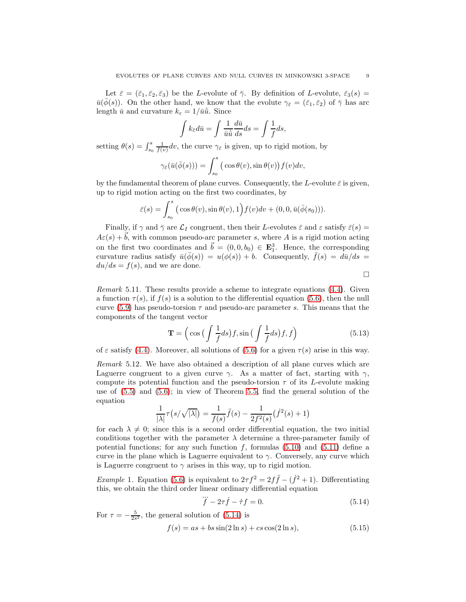Let  $\bar{\varepsilon} = (\bar{\varepsilon}_1, \bar{\varepsilon}_2, \bar{\varepsilon}_3)$  be the L-evolute of  $\bar{\gamma}$ . By definition of L-evolute,  $\bar{\varepsilon}_3(s)$  =  $\bar{u}(\bar{\phi}(s))$ . On the other hand, we know that the evolute  $\gamma_{\bar{\varepsilon}}=(\bar{\varepsilon}_1,\bar{\varepsilon}_2)$  of  $\bar{\gamma}$  has arc length  $\bar{u}$  and curvature  $k_{\varepsilon} = 1/\bar{u}\dot{\bar{u}}$ . Since

$$
\int k_{\bar{\varepsilon}} d\bar{u} = \int \frac{1}{\bar{u}\dot{\bar{u}}} \frac{d\bar{u}}{ds} ds = \int \frac{1}{f} ds,
$$

setting  $\theta(s) = \int_{s_0}^s \frac{1}{f(v)} dv$ , the curve  $\gamma_{\tilde{\varepsilon}}$  is given, up to rigid motion, by

$$
\gamma_{\bar{\varepsilon}}(\bar{u}(\bar{\phi}(s))) = \int_{s_0}^s (\cos \theta(v), \sin \theta(v)) f(v) dv,
$$

by the fundamental theorem of plane curves. Consequently, the L-evolute  $\bar{\varepsilon}$  is given, up to rigid motion acting on the first two coordinates, by

$$
\bar{\varepsilon}(s) = \int_{s_0}^s \big(\cos\theta(v), \sin\theta(v), 1\big) f(v) dv + (0, 0, \bar{u}(\bar{\phi}(s_0))).
$$

Finally, if  $\gamma$  and  $\bar{\gamma}$  are  $\mathcal{L}_I$  congruent, then their L-evolutes  $\bar{\varepsilon}$  and  $\varepsilon$  satisfy  $\bar{\varepsilon}(s)$  =  $A\varepsilon(s) + \overline{b}$ , with common pseudo-arc parameter s, where A is a rigid motion acting on the first two coordinates and  $\vec{b} = (0, 0, b_0) \in \mathbf{E}_1^3$ . Hence, the corresponding curvature radius satisfy  $\bar{u}(\bar{\phi}(s)) = u(\phi(s)) + b$ . Consequently,  $\bar{f}(s) = d\bar{u}/ds =$  $du/ds = f(s)$ , and we are done.

 $\Box$ 

Remark 5.11. These results provide a scheme to integrate equations [\(4.4\)](#page-2-3). Given a function  $\tau(s)$ , if  $f(s)$  is a solution to the differential equation [\(5.6\)](#page-6-2), then the null curve [\(5.9\)](#page-6-3) has pseudo-torsion  $\tau$  and pseudo-arc parameter s. This means that the components of the tangent vector

<span id="page-8-3"></span>
$$
\mathbf{T} = \left(\cos\left(\int \frac{1}{f} ds\right) f, \sin\left(\int \frac{1}{f} ds\right) f, f\right) \tag{5.13}
$$

of  $\varepsilon$  satisfy [\(4.4\)](#page-2-3). Moreover, all solutions of [\(5.6\)](#page-6-2) for a given  $\tau(s)$  arise in this way.

<span id="page-8-0"></span>Remark 5.12. We have also obtained a description of all plane curves which are Laguerre congruent to a given curve  $\gamma$ . As a matter of fact, starting with  $\gamma$ , compute its potential function and the pseudo-torsion  $\tau$  of its L-evolute making use of [\(5.5\)](#page-5-1) and [\(5.6\)](#page-6-2); in view of Theorem [5.5,](#page-5-2) find the general solution of the equation

$$
\frac{1}{|\lambda|}\tau(s/\sqrt{|\lambda|}) = \frac{1}{f(s)}\ddot{f}(s) - \frac{1}{2f^2(s)}(\dot{f}^2(s) + 1)
$$

for each  $\lambda \neq 0$ ; since this is a second order differential equation, the two initial conditions together with the parameter  $\lambda$  determine a three-parameter family of potential functions; for any such function  $f$ , formulas [\(5.10\)](#page-7-0) and [\(5.11\)](#page-7-2) define a curve in the plane which is Laguerre equivalent to  $\gamma$ . Conversely, any curve which is Laguerre congruent to  $\gamma$  arises in this way, up to rigid motion.

<span id="page-8-4"></span>*Example* 1. Equation [\(5.6\)](#page-6-2) is equivalent to  $2\tau f^2 = 2f\ddot{f} - (f^2 + 1)$ . Differentiating this, we obtain the third order linear ordinary differential equation

<span id="page-8-1"></span>
$$
\dddot{f} - 2\tau \dot{f} - \dot{\tau} f = 0. \tag{5.14}
$$

For  $\tau = -\frac{5}{2s^2}$ , the general solution of [\(5.14\)](#page-8-1) is

<span id="page-8-2"></span>
$$
f(s) = as + bs \sin(2 \ln s) + cs \cos(2 \ln s), \tag{5.15}
$$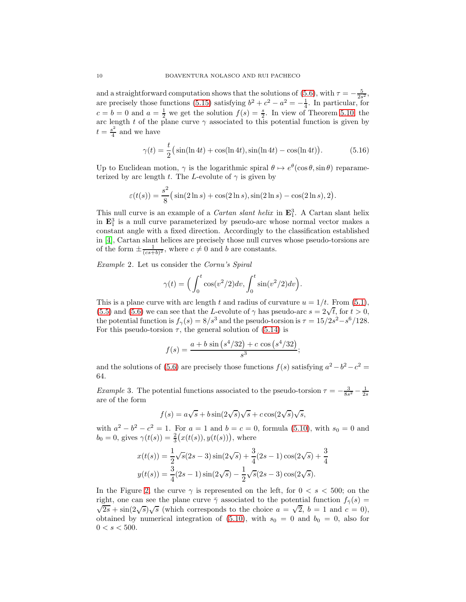and a straightforward computation shows that the solutions of [\(5.6\)](#page-6-2), with  $\tau = -\frac{5}{2s^2}$ , are precisely those functions [\(5.15\)](#page-8-2) satisfying  $b^2 + c^2 - a^2 = -\frac{1}{4}$ . In particular, for  $c = b = 0$  and  $a = \frac{1}{2}$  we get the solution  $f(s) = \frac{s}{2}$ . In view of Theorem [5.10,](#page-6-0) the arc length t of the plane curve  $\gamma$  associated to this potential function is given by  $t = \frac{s^2}{4}$  $rac{s^2}{4}$  and we have

<span id="page-9-0"></span>
$$
\gamma(t) = \frac{t}{2} \left( \sin(\ln 4t) + \cos(\ln 4t), \sin(\ln 4t) - \cos(\ln 4t) \right). \tag{5.16}
$$

Up to Euclidean motion,  $\gamma$  is the logarithmic spiral  $\theta \mapsto e^{\theta}(\cos \theta, \sin \theta)$  reparameterized by arc length t. The L-evolute of  $\gamma$  is given by

$$
\varepsilon(t(s)) = \frac{s^2}{8}(\sin(2\ln s) + \cos(2\ln s), \sin(2\ln s) - \cos(2\ln s), 2).
$$

This null curve is an example of a *Cartan slant helix* in  $\mathbf{E}_1^3$ . A Cartan slant helix in  $\mathbf{E}_1^3$  is a null curve parameterized by pseudo-arc whose normal vector makes a constant angle with a fixed direction. Accordingly to the classification established in [\[4\]](#page-16-4), Cartan slant helices are precisely those null curves whose pseudo-torsions are of the form  $\pm \frac{1}{(cs+b)^2}$ , where  $c \neq 0$  and b are constants.

Example 2. Let us consider the Cornu's Spiral

$$
\gamma(t) = \left(\int_0^t \cos(v^2/2)dv, \int_0^t \sin(v^2/2)dv\right).
$$

This is a plane curve with arc length t and radius of curvature  $u = 1/t$ . From [\(5.1\)](#page-4-0), [\(5.5\)](#page-5-1) and [\(5.6\)](#page-6-2) we can see that the L-evolute of  $\gamma$  has pseudo-arc  $s = 2\sqrt{t}$ , for  $t > 0$ , the potential function is  $f_{\gamma}(s) = 8/s^3$  and the pseudo-torsion is  $\tau = 15/2s^2 - s^6/128$ . For this pseudo-torsion  $\tau$ , the general solution of [\(5.14\)](#page-8-1) is

$$
f(s) = \frac{a+b\sin\left(s^4/32\right) + c\cos\left(s^4/32\right)}{s^3};
$$

and the solutions of [\(5.6\)](#page-6-2) are precisely those functions  $f(s)$  satisfying  $a^2 - b^2 - c^2 =$ 64.

<span id="page-9-1"></span>*Example* 3. The potential functions associated to the pseudo-torsion  $\tau = -\frac{3}{8s^2} - \frac{1}{2s}$ are of the form

$$
f(s) = a\sqrt{s} + b\sin(2\sqrt{s})\sqrt{s} + c\cos(2\sqrt{s})\sqrt{s},
$$

with  $a^2 - b^2 - c^2 = 1$ . For  $a = 1$  and  $b = c = 0$ , formula [\(5.10\)](#page-7-0), with  $s_0 = 0$  and  $b_0 = 0$ , gives  $\gamma(t(s)) = \frac{2}{3}(x(t(s)), y(t(s)))$ , where

$$
x(t(s)) = \frac{1}{2}\sqrt{s}(2s-3)\sin(2\sqrt{s}) + \frac{3}{4}(2s-1)\cos(2\sqrt{s}) + \frac{3}{4}
$$

$$
y(t(s)) = \frac{3}{4}(2s-1)\sin(2\sqrt{s}) - \frac{1}{2}\sqrt{s}(2s-3)\cos(2\sqrt{s}).
$$

In the Figure [2,](#page-10-0) the curve  $\gamma$  is represented on the left, for  $0 < s < 500$ ; on the right, one can see the plane curve  $\bar{\gamma}$  associated to the potential function  $f_{\bar{\gamma}}(s)$  =  $\sqrt{2s} + \sin(2\sqrt{s})\sqrt{s}$  (which corresponds to the choice  $a = \sqrt{2}$ ,  $b = 1$  and  $c = 0$ ), obtained by numerical integration of [\(5.10\)](#page-7-0), with  $s_0 = 0$  and  $b_0 = 0$ , also for  $0 < s < 500$ .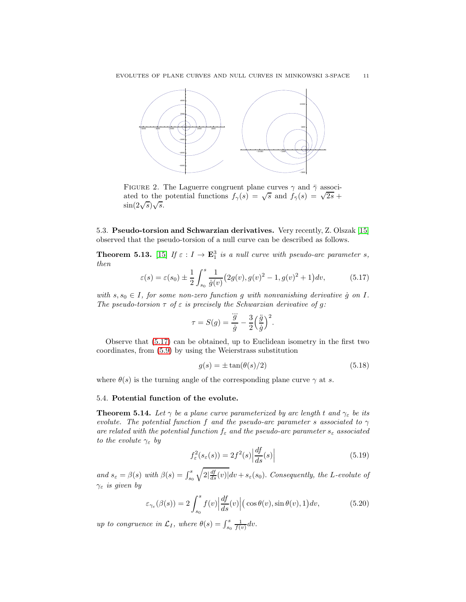

<span id="page-10-0"></span>FIGURE 2. The Laguerre congruent plane curves  $\gamma$  and  $\bar{\gamma}$  associated to the potential functions  $f_{\gamma}(s) = \sqrt{s}$  and  $f_{\gamma}(s) = \sqrt{2s} +$  $\sin(2\sqrt{s})\sqrt{s}.$ 

5.3. Pseudo-torsion and Schwarzian derivatives. Very recently, Z. Olszak [\[15\]](#page-17-7) observed that the pseudo-torsion of a null curve can be described as follows.

<span id="page-10-4"></span>**Theorem 5.13.** [\[15\]](#page-17-7) If  $\varepsilon : I \to \mathbf{E}_1^3$  is a null curve with pseudo-arc parameter s, then

<span id="page-10-1"></span>
$$
\varepsilon(s) = \varepsilon(s_0) \pm \frac{1}{2} \int_{s_0}^s \frac{1}{\dot{g}(v)} (2g(v), g(v)^2 - 1, g(v)^2 + 1) dv, \tag{5.17}
$$

with  $s, s_0 \in I$ , for some non-zero function g with nonvanishing derivative g on I. The pseudo-torsion  $\tau$  of  $\varepsilon$  is precisely the Schwarzian derivative of g:

$$
\tau = S(g) = \frac{\dddot{g}}{\dot{g}} - \frac{3}{2} \left(\frac{\ddot{g}}{\dot{g}}\right)^2.
$$

Observe that [\(5.17\)](#page-10-1) can be obtained, up to Euclidean isometry in the first two coordinates, from [\(5.9\)](#page-6-3) by using the Weierstrass substitution

<span id="page-10-3"></span>
$$
g(s) = \pm \tan(\theta(s)/2) \tag{5.18}
$$

where  $\theta(s)$  is the turning angle of the corresponding plane curve  $\gamma$  at s.

# 5.4. Potential function of the evolute.

**Theorem 5.14.** Let  $\gamma$  be a plane curve parameterized by arc length t and  $\gamma_{\varepsilon}$  be its evolute. The potential function f and the pseudo-arc parameter s associated to  $\gamma$ are related with the potential function  $f_{\varepsilon}$  and the pseudo-arc parameter  $s_{\varepsilon}$  associated to the evolute  $\gamma_{\varepsilon}$  by

<span id="page-10-5"></span>
$$
f_{\varepsilon}^{2}(s_{\varepsilon}(s)) = 2f^{2}(s) \left| \frac{df}{ds}(s) \right| \tag{5.19}
$$

and  $s_{\varepsilon} = \beta(s)$  with  $\beta(s) = \int_{s_0}^{s}$  $\sqrt{2\left|\frac{df}{ds}(v)\right|}dv + s_{\varepsilon}(s_0)$ . Consequently, the L-evolute of  $\gamma_{\varepsilon}$  is given by

<span id="page-10-2"></span>
$$
\varepsilon_{\gamma_{\varepsilon}}(\beta(s)) = 2 \int_{s_0}^s f(v) \left| \frac{df}{ds}(v) \right| \left( \cos \theta(v), \sin \theta(v), 1 \right) dv, \tag{5.20}
$$

up to congruence in  $\mathcal{L}_I$ , where  $\theta(s) = \int_{s_0}^s \frac{1}{f(v)} dv$ .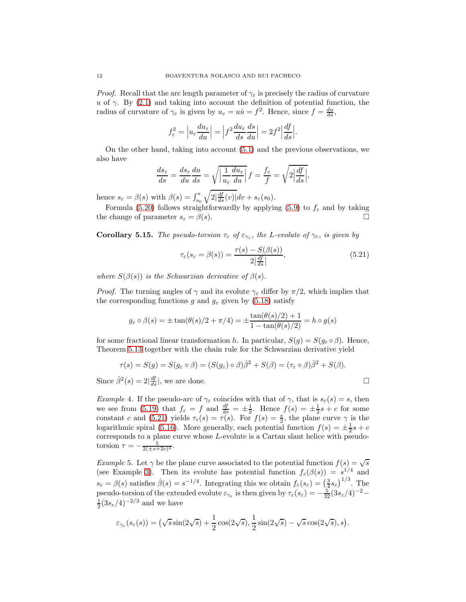*Proof.* Recall that the arc length parameter of  $\gamma_{\varepsilon}$  is precisely the radius of curvature u of  $\gamma$ . By [\(2.1\)](#page-1-0) and taking into account the definition of potential function, the radius of curvature of  $\gamma_{\varepsilon}$  is given by  $u_{\varepsilon} = u\dot{u} = f^2$ . Hence, since  $f = \frac{du}{ds}$ ,

$$
f_{\varepsilon}^{2} = \left| u_{\varepsilon} \frac{du_{\varepsilon}}{du} \right| = \left| f^{2} \frac{du_{\varepsilon}}{ds} \frac{ds}{du} \right| = 2f^{2} \left| \frac{df}{ds} \right|.
$$

On the other hand, taking into account [\(5.1\)](#page-4-0) and the previous observations, we also have

$$
\frac{ds_{\varepsilon}}{ds} = \frac{ds_{\varepsilon}}{du}\frac{du}{ds} = \sqrt{\left|\frac{1}{u_{\varepsilon}}\frac{du_{\varepsilon}}{du}\right|}f = \frac{f_{\varepsilon}}{f} = \sqrt{2\left|\frac{df}{ds}\right|},
$$

hence  $s_{\varepsilon} = \beta(s)$  with  $\beta(s) = \int_{s_0}^s$  $\sqrt{2\left|\frac{df}{ds}(v)\right|}dv + s_{\varepsilon}(s_0).$ 

Formula [\(5.20\)](#page-10-2) follows straightforwardly by applying [\(5.9\)](#page-6-3) to  $f_{\varepsilon}$  and by taking the change of parameter  $s_{\varepsilon} = \beta(s)$ .

**Corollary 5.15.** The pseudo-torsion  $\tau_{\varepsilon}$  of  $\varepsilon_{\gamma_{\varepsilon}}$ , the L-evolute of  $\gamma_{\varepsilon}$ , is given by

<span id="page-11-0"></span>
$$
\tau_{\varepsilon}(s_{\varepsilon} = \beta(s)) = \frac{\tau(s) - S(\beta(s))}{2\left|\frac{df}{ds}\right|},\tag{5.21}
$$

where  $S(\beta(s))$  is the Schwarzian derivative of  $\beta(s)$ .

*Proof.* The turning angles of  $\gamma$  and its evolute  $\gamma_{\varepsilon}$  differ by  $\pi/2$ , which implies that the corresponding functions g and  $g_{\varepsilon}$  given by [\(5.18\)](#page-10-3) satisfy

$$
g_{\varepsilon} \circ \beta(s) = \pm \tan(\theta(s)/2 + \pi/4) = \pm \frac{\tan(\theta(s)/2) + 1}{1 - \tan(\theta(s)/2)} = h \circ g(s)
$$

for some fractional linear transformation h. In particular,  $S(q) = S(q_{\varepsilon} \circ \beta)$ . Hence, Theorem [5.13](#page-10-4) together with the chain rule for the Schwarzian derivative yield

$$
\tau(s) = S(g) = S(g_{\varepsilon} \circ \beta) = (S(g_{\varepsilon}) \circ \beta)\dot{\beta}^{2} + S(\beta) = (\tau_{\varepsilon} \circ \beta)\dot{\beta}^{2} + S(\beta).
$$

Since  $\dot{\beta}^2(s) = 2\left|\frac{df}{ds}\right|$ , we are done.

Example 4. If the pseudo-arc of  $\gamma_{\varepsilon}$  coincides with that of  $\gamma$ , that is  $s_{\varepsilon}(s) = s$ , then we see from [\(5.19\)](#page-10-5) that  $f_{\varepsilon} = f$  and  $\frac{df}{ds} = \pm \frac{1}{2}$ . Hence  $f(s) = \pm \frac{1}{2}s + c$  for some constant c and [\(5.21\)](#page-11-0) yields  $\tau_{\epsilon}(s) = \tau(s)$ . For  $f(s) = \frac{s}{2}$ , the plane curve  $\gamma$  is the logarithmic spiral [\(5.16\)](#page-9-0). More generally, each potential function  $f(s) = \pm \frac{1}{2}s + c$ corresponds to a plane curve whose L-evolute is a Cartan slant helice with pseudotorsion  $\tau = -\frac{5}{2(\pm s + 2c)^2}$ .

Example 5. Let  $\gamma$  be the plane curve associated to the potential function  $f(s) = \sqrt{s}$ (see Example [3\)](#page-9-1). Then its evolute has potential function  $f_{\varepsilon}(\beta(s)) = s^{1/4}$  and  $s_{\varepsilon} = \beta(s)$  satisfies  $\dot{\beta}(s) = s^{-1/4}$ . Integrating this we obtain  $f_{\varepsilon}(s_{\varepsilon}) = \left(\frac{3}{4} s_{\varepsilon}\right)^{1/3}$ . The pseudo-torsion of the extended evolute  $\varepsilon_{\gamma_{\varepsilon}}$  is then given by  $\tau_{\varepsilon}(s_{\varepsilon}) = -\frac{5}{32}(3s_{\varepsilon}/4)^{-2}$  $\frac{1}{2}(3s_{\varepsilon}/4)^{-2/3}$  and we have

$$
\varepsilon_{\gamma_{\varepsilon}}(s_{\varepsilon}(s)) = \left(\sqrt{s}\sin(2\sqrt{s}) + \frac{1}{2}\cos(2\sqrt{s}), \frac{1}{2}\sin(2\sqrt{s}) - \sqrt{s}\cos(2\sqrt{s}), s\right).
$$

$$
\Box
$$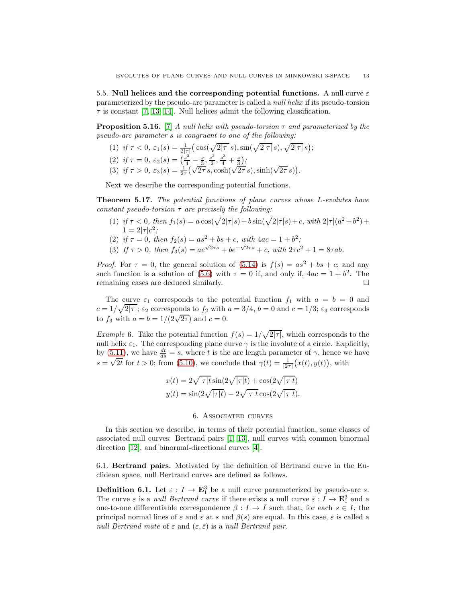5.5. Null helices and the corresponding potential functions. A null curve  $\varepsilon$ parameterized by the pseudo-arc parameter is called a null helix if its pseudo-torsion  $\tau$  is constant [\[7,](#page-16-6) [13,](#page-17-1) [14\]](#page-17-2). Null helices admit the following classification.

**Proposition 5.16.** [\[7\]](#page-16-6) A null helix with pseudo-torsion  $\tau$  and parameterized by the pseudo-arc parameter s is congruent to one of the following:

- (1) if  $\tau < 0$ ,  $\varepsilon_1(s) = \frac{1}{2|\tau|} \left( \cos(\sqrt{2|\tau|} s), \sin(\sqrt{2|\tau|} s), \sqrt{2|\tau|} s \right);$ (2) if  $\tau = 0$ ,  $\varepsilon_2(s) = \left(\frac{s^3}{4} - \frac{s}{3}, \frac{s^2}{2}\right)$  $\frac{s^2}{2}, \frac{s^3}{4} + \frac{s}{3}$
- (3) if  $\tau > 0$ ,  $\varepsilon_3(s) = \frac{1}{2\tau} (\sqrt{2\tau} s, \cosh(\sqrt{2\tau} s), \sinh(\sqrt{2\tau} s)).$

Next we describe the corresponding potential functions.

Theorem 5.17. The potential functions of plane curves whose L-evolutes have constant pseudo-torsion  $\tau$  are precisely the following:

- (1) if  $\tau < 0$ , then  $f_1(s) = a \cos(\sqrt{2|\tau|} s) + b \sin(\sqrt{2|\tau|} s) + c$ , with  $2|\tau|(a^2 + b^2) + c$  $1 = 2|\tau|c^2;$
- (2) if  $\tau = 0$ , then  $f_2(s) = as^2 + bs + c$ , with  $4ac = 1 + b^2$ ;
- (3) If  $\tau > 0$ , then  $f_3(s) = ae^{\sqrt{2\tau}s} + be^{-\sqrt{2\tau}s} + c$ , with  $2\tau c^2 + 1 = 8\tau ab$ .

*Proof.* For  $\tau = 0$ , the general solution of  $(5.14)$  is  $f(s) = as^2 + bs + c$ ; and any such function is a solution of [\(5.6\)](#page-6-2) with  $\tau = 0$  if, and only if,  $4ac = 1 + b^2$ . The remaining cases are deduced similarly.

The curve  $\varepsilon_1$  corresponds to the potential function  $f_1$  with  $a = b = 0$  and  $c = 1/\sqrt{2|\tau|}$ ;  $\varepsilon_2$  corresponds to  $f_2$  with  $a = 3/4$ ,  $b = 0$  and  $c = 1/3$ ;  $\varepsilon_3$  corresponds to  $f_3$  with  $a = b = 1/(2\sqrt{2\tau})$  and  $c = 0$ .

<span id="page-12-1"></span>*Example* 6. Take the potential function  $f(s) = 1/\sqrt{2|\tau|}$ , which corresponds to the null helix  $\varepsilon_1$ . The corresponding plane curve  $\gamma$  is the involute of a circle. Explicitly, by  $(5.11)$ , we have  $\frac{dt}{ds} = s$ , where t is the arc length parameter of  $\gamma$ , hence we have  $s = \sqrt{2t}$  for  $t > 0$ ; from [\(5.10\)](#page-7-0), we conclude that  $\gamma(t) = \frac{1}{|2\tau|}(x(t), y(t))$ , with

$$
x(t) = 2\sqrt{|\tau|t} \sin(2\sqrt{|\tau|t}) + \cos(2\sqrt{|\tau|t})
$$
  

$$
y(t) = \sin(2\sqrt{|\tau|t}) - 2\sqrt{|\tau|t} \cos(2\sqrt{|\tau|t}).
$$

#### 6. Associated curves

<span id="page-12-0"></span>In this section we describe, in terms of their potential function, some classes of associated null curves: Bertrand pairs [\[1,](#page-16-3) [13\]](#page-17-1), null curves with common binormal direction [\[12\]](#page-17-3), and binormal-directional curves [\[4\]](#page-16-4).

6.1. Bertrand pairs. Motivated by the definition of Bertrand curve in the Euclidean space, null Bertrand curves are defined as follows.

**Definition 6.1.** Let  $\varepsilon : I \to \mathbf{E}_1^3$  be a null curve parameterized by pseudo-arc s. The curve  $\varepsilon$  is a *null Bertrand curve* if there exists a null curve  $\bar{\varepsilon} : \bar{I} \to \mathbf{E}_1^3$  and a one-to-one differentiable correspondence  $\beta : I \to \overline{I}$  such that, for each  $s \in I$ , the principal normal lines of  $\varepsilon$  and  $\bar{\varepsilon}$  at s and  $\beta(s)$  are equal. In this case,  $\bar{\varepsilon}$  is called a null Bertrand mate of  $\varepsilon$  and  $(\varepsilon, \overline{\varepsilon})$  is a null Bertrand pair.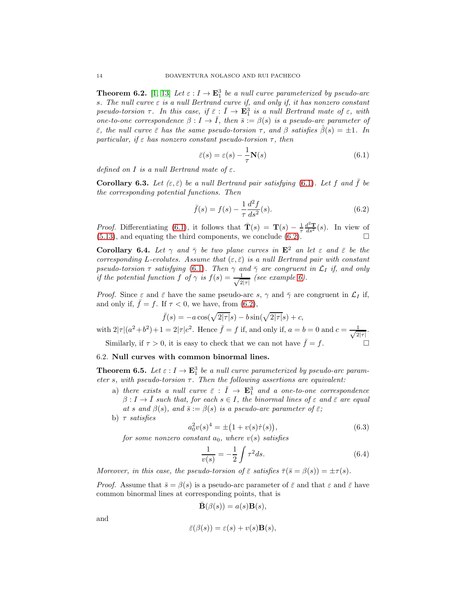**Theorem 6.2.** [\[1,](#page-16-3) [13\]](#page-17-1) Let  $\varepsilon: I \to \mathbf{E}_1^3$  be a null curve parameterized by pseudo-arc s. The null curve  $\varepsilon$  is a null Bertrand curve if, and only if, it has nonzero constant pseudo-torsion  $\tau$ . In this case, if  $\bar{\varepsilon}$  :  $\bar{I} \to \mathbf{E}_1^3$  is a null Bertrand mate of  $\varepsilon$ , with one-to-one correspondence  $\beta : I \to \overline{I}$ , then  $\overline{s} := \beta(s)$  is a pseudo-arc parameter of  $\bar{\varepsilon}$ , the null curve  $\bar{\varepsilon}$  has the same pseudo-torsion  $\tau$ , and  $\beta$  satisfies  $\beta(s) = \pm 1$ . In particular, if  $\varepsilon$  has nonzero constant pseudo-torsion  $\tau$ , then

<span id="page-13-0"></span>
$$
\bar{\varepsilon}(s) = \varepsilon(s) - \frac{1}{\tau} \mathbf{N}(s)
$$
\n(6.1)

defined on I is a null Bertrand mate of  $\varepsilon$ .

**Corollary 6.3.** Let  $(\varepsilon, \bar{\varepsilon})$  be a null Bertrand pair satisfying [\(6.1\)](#page-13-0). Let f and  $\bar{f}$  be the corresponding potential functions. Then

<span id="page-13-1"></span>
$$
\bar{f}(s) = f(s) - \frac{1}{\tau} \frac{d^2 f}{ds^2}(s).
$$
\n(6.2)

*Proof.* Differentiating [\(6.1\)](#page-13-0), it follows that  $\bar{\mathbf{T}}(s) = \mathbf{T}(s) - \frac{1}{\tau} \frac{d^2 \mathbf{T}}{ds^2}(s)$ . In view of  $(5.13)$ , and equating the third components, we conclude  $(6.2)$ .

**Corollary 6.4.** Let  $\gamma$  and  $\bar{\gamma}$  be two plane curves in  $\mathbf{E}^2$  an let  $\varepsilon$  and  $\bar{\varepsilon}$  be the corresponding L-evolutes. Assume that  $(\varepsilon, \bar{\varepsilon})$  is a null Bertrand pair with constant pseudo-torsion  $\tau$  satisfying [\(6.1\)](#page-13-0). Then  $\gamma$  and  $\bar{\gamma}$  are congruent in  $\mathcal{L}_I$  if, and only if the potential function f of  $\gamma$  is  $f(s) = \frac{1}{\sqrt{2}}$  $rac{1}{2|\tau|}$  (see example [6\)](#page-12-1).

*Proof.* Since  $\varepsilon$  and  $\bar{\varepsilon}$  have the same pseudo-arc s,  $\gamma$  and  $\bar{\gamma}$  are congruent in  $\mathcal{L}_I$  if, and only if,  $\bar{f} = f$ . If  $\tau < 0$ , we have, from [\(6.2\)](#page-13-1),

$$
\bar{f}(s) = -a\cos(\sqrt{2|\tau|}s) - b\sin(\sqrt{2|\tau|}s) + c,
$$

with  $2|\tau|(a^2+b^2)+1=2|\tau|c^2$ . Hence  $\bar{f}=f$  if, and only if,  $a=b=0$  and  $c=\frac{1}{\sqrt{2}}$  $rac{1}{2|\tau|}$ . Similarly, if  $\tau > 0$ , it is easy to check that we can not have  $\bar{f} = f$ .

# 6.2. Null curves with common binormal lines.

<span id="page-13-4"></span>**Theorem 6.5.** Let  $\varepsilon : I \to \mathbf{E}_1^3$  be a null curve parameterized by pseudo-arc parameter s, with pseudo-torsion  $\tau$ . Then the following assertions are equivalent:

- a) there exists a null curve  $\bar{\varepsilon}$  :  $\bar{I} \rightarrow \mathbf{E}_{1}^{3}$  and a one-to-one correspondence  $\beta: I \to \overline{I}$  such that, for each  $s \in I$ , the binormal lines of  $\varepsilon$  and  $\overline{\varepsilon}$  are equal at s and  $\beta(s)$ , and  $\bar{s} := \beta(s)$  is a pseudo-arc parameter of  $\bar{\varepsilon}$ ;
- b)  $\tau$  satisfies

<span id="page-13-3"></span>
$$
a_0^2 v(s)^4 = \pm (1 + v(s)\dot{\tau}(s)), \tag{6.3}
$$

for some nonzero constant  $a_0$ , where  $v(s)$  satisfies

<span id="page-13-2"></span>
$$
\frac{1}{v(s)} = -\frac{1}{2} \int \tau^2 ds.
$$
\n(6.4)

Moreover, in this case, the pseudo-torsion of  $\bar{\varepsilon}$  satisfies  $\bar{\tau}(\bar{s} = \beta(s)) = \pm \tau(s)$ .

*Proof.* Assume that  $\bar{s} = \beta(s)$  is a pseudo-arc parameter of  $\bar{\varepsilon}$  and that  $\varepsilon$  and  $\bar{\varepsilon}$  have common binormal lines at corresponding points, that is

$$
\bar{\mathbf{B}}(\beta(s)) = a(s)\mathbf{B}(s),
$$

and

$$
\bar{\varepsilon}(\beta(s)) = \varepsilon(s) + v(s)\mathbf{B}(s)
$$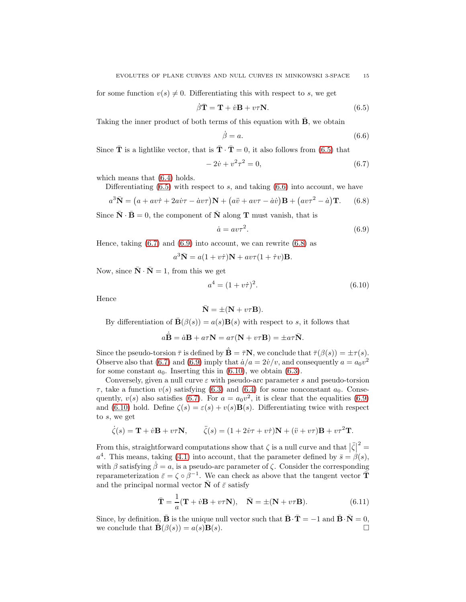for some function  $v(s) \neq 0$ . Differentiating this with respect to s, we get

<span id="page-14-0"></span>
$$
\dot{\beta}\bar{\mathbf{T}} = \mathbf{T} + \dot{v}\mathbf{B} + v\tau\mathbf{N}.\tag{6.5}
$$

Taking the inner product of both terms of this equation with  $\overline{B}$ , we obtain

<span id="page-14-1"></span>
$$
\dot{\beta} = a. \tag{6.6}
$$

Since  $\bar{\mathbf{T}}$  is a lightlike vector, that is  $\bar{\mathbf{T}} \cdot \bar{\mathbf{T}} = 0$ , it also follows from [\(6.5\)](#page-14-0) that

<span id="page-14-2"></span>
$$
-2\dot{v} + v^2\tau^2 = 0,\t\t(6.7)
$$

which means that  $(6.4)$  holds.

Differentiating  $(6.5)$  with respect to s, and taking  $(6.6)$  into account, we have

<span id="page-14-4"></span>
$$
a^{3}\overline{\mathbf{N}} = (a + av\dot{\tau} + 2a\dot{v}\tau - \dot{a}v\tau)\mathbf{N} + (a\ddot{v} + av\tau - \dot{a}\dot{v})\mathbf{B} + (av\tau^{2} - \dot{a})\mathbf{T}.
$$
 (6.8)

Since  $\bar{\mathbf{N}} \cdot \bar{\mathbf{B}} = 0$ , the component of  $\bar{\mathbf{N}}$  along **T** must vanish, that is

<span id="page-14-3"></span>
$$
\dot{a} = av\tau^2. \tag{6.9}
$$

Hence, taking  $(6.7)$  and  $(6.9)$  into account, we can rewrite  $(6.8)$  as

 $a^3\bar{\mathbf{N}} = a(1 + v\dot{\tau})\mathbf{N} + av\tau(1 + \dot{\tau}v)\mathbf{B}.$ 

Now, since  $\bar{\mathbf{N}} \cdot \bar{\mathbf{N}} = 1$ , from this we get

<span id="page-14-5"></span>
$$
a^4 = (1 + v\dot{\tau})^2. \tag{6.10}
$$

Hence

$$
\bar{\mathbf{N}} = \pm (\mathbf{N} + v\tau \mathbf{B}).
$$

By differentiation of  $\bar{\mathbf{B}}(\beta(s)) = a(s)\mathbf{B}(s)$  with respect to s, it follows that

$$
a\dot{\mathbf{B}} = \dot{a}\mathbf{B} + a\tau \mathbf{N} = a\tau (\mathbf{N} + v\tau \mathbf{B}) = \pm a\tau \bar{\mathbf{N}}.
$$

Since the pseudo-torsion  $\bar{\tau}$  is defined by  $\bar{\mathbf{B}} = \bar{\tau} \mathbf{N}$ , we conclude that  $\bar{\tau}(\beta(s)) = \pm \tau(s)$ . Observe also that [\(6.7\)](#page-14-2) and [\(6.9\)](#page-14-3) imply that  $\dot{a}/a = 2\dot{v}/v$ , and consequently  $a = a_0v^2$ for some constant  $a_0$ . Inserting this in [\(6.10\)](#page-14-5), we obtain [\(6.3\)](#page-13-3).

Conversely, given a null curve  $\varepsilon$  with pseudo-arc parameter s and pseudo-torsion  $\tau$ , take a function  $v(s)$  satisfying [\(6.3\)](#page-13-3) and [\(6.4\)](#page-13-2) for some nonconstant  $a_0$ . Consequently,  $v(s)$  also satisfies [\(6.7\)](#page-14-2). For  $a = a_0 v^2$ , it is clear that the equalities [\(6.9\)](#page-14-3) and [\(6.10\)](#page-14-5) hold. Define  $\zeta(s) = \varepsilon(s) + v(s)B(s)$ . Differentiating twice with respect to s, we get

$$
\dot{\zeta}(s) = \mathbf{T} + \dot{v}\mathbf{B} + v\tau\mathbf{N}, \qquad \ddot{\zeta}(s) = (1 + 2\dot{v}\tau + v\dot{\tau})\mathbf{N} + (\ddot{v} + v\tau)\mathbf{B} + v\tau^2\mathbf{T}.
$$

From this, straightforward computations show that  $\zeta$  is a null curve and that  $|\zeta|^2 =$  $a<sup>4</sup>$ . This means, taking [\(4.1\)](#page-2-1) into account, that the parameter defined by  $\bar{s} = \beta(s)$ , with  $\beta$  satisfying  $\dot{\beta} = a$ , is a pseudo-arc parameter of  $\zeta$ . Consider the corresponding reparameterization  $\bar{\varepsilon} = \zeta \circ \beta^{-1}$ . We can check as above that the tangent vector  $\bar{\mathbf{T}}$ and the principal normal vector  $\bar{N}$  of  $\bar{\varepsilon}$  satisfy

<span id="page-14-6"></span>
$$
\bar{\mathbf{T}} = \frac{1}{a} (\mathbf{T} + \dot{v} \mathbf{B} + v\tau \mathbf{N}), \quad \bar{\mathbf{N}} = \pm (\mathbf{N} + v\tau \mathbf{B}). \tag{6.11}
$$

Since, by definition,  $\vec{\mathbf{B}}$  is the unique null vector such that  $\vec{\mathbf{B}} \cdot \vec{\mathbf{T}} = -1$  and  $\vec{\mathbf{B}} \cdot \vec{\mathbf{N}} = 0$ , we conclude that  $\vec{\mathbf{B}}(\beta(s)) = a(s)\mathbf{B}(s)$ . we conclude that  $\mathbf{B}(\beta(s)) = a(s)\mathbf{B}(s)$ .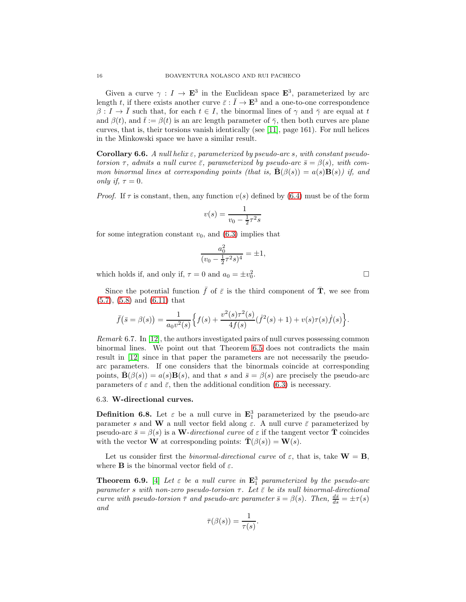Given a curve  $\gamma: I \to \mathbf{E}^3$  in the Euclidean space  $\mathbf{E}^3$ , parameterized by arc length t, if there exists another curve  $\bar{\varepsilon}$  :  $\bar{I} \to \mathbf{E}^3$  and a one-to-one correspondence  $\beta: I \to I$  such that, for each  $t \in I$ , the binormal lines of  $\gamma$  and  $\overline{\gamma}$  are equal at t and  $\beta(t)$ , and  $\bar{t} := \beta(t)$  is an arc length parameter of  $\bar{\gamma}$ , then both curves are plane curves, that is, their torsions vanish identically (see [\[11\]](#page-17-8), page 161). For null helices in the Minkowski space we have a similar result.

<span id="page-15-0"></span>**Corollary 6.6.** A null helix  $\varepsilon$ , parameterized by pseudo-arc s, with constant pseudotorsion  $\tau$ , admits a null curve  $\bar{\varepsilon}$ , parameterized by pseudo-arc  $\bar{s} = \beta(s)$ , with common binormal lines at corresponding points (that is,  $\mathbf{B}(\beta(s)) = a(s)\mathbf{B}(s)$ ) if, and only if,  $\tau = 0$ .

*Proof.* If  $\tau$  is constant, then, any function  $v(s)$  defined by [\(6.4\)](#page-13-2) must be of the form

$$
v(s) = \frac{1}{v_0 - \frac{1}{2}\tau^2 s}
$$

for some integration constant  $v_0$ , and  $(6.3)$  implies that

$$
\frac{a_0^2}{(v_0 - \frac{1}{2}\tau^2 s)^4} = \pm 1,
$$

which holds if, and only if,  $\tau = 0$  and  $a_0 = \pm v_0^2$ 

Since the potential function  $\bar{f}$  of  $\bar{\varepsilon}$  is the third component of  $\bar{\mathbf{T}}$ , we see from [\(5.7\)](#page-6-4), [\(5.8\)](#page-6-5) and [\(6.11\)](#page-14-6) that

$$
\bar{f}(\bar{s} = \beta(s)) = \frac{1}{a_0 v^2(s)} \Big\{ f(s) + \frac{v^2(s)\tau^2(s)}{4f(s)} (f^2(s) + 1) + v(s)\tau(s)\dot{f}(s) \Big\}.
$$

Remark 6.7. In [\[12\]](#page-17-3), the authors investigated pairs of null curves possessing common binormal lines. We point out that Theorem [6.5](#page-13-4) does not contradicts the main result in [\[12\]](#page-17-3) since in that paper the parameters are not necessarily the pseudoarc parameters. If one considers that the binormals coincide at corresponding points,  $\mathbf{B}(\beta(s)) = a(s)\mathbf{B}(s)$ , and that s and  $\bar{s} = \beta(s)$  are precisely the pseudo-arc parameters of  $\varepsilon$  and  $\bar{\varepsilon}$ , then the additional condition [\(6.3\)](#page-13-3) is necessary.

# 6.3. W-directional curves.

**Definition 6.8.** Let  $\varepsilon$  be a null curve in  $\mathbf{E}_1^3$  parameterized by the pseudo-arc parameter s and W a null vector field along  $\varepsilon$ . A null curve  $\bar{\varepsilon}$  parameterized by pseudo-arc  $\bar{s} = \beta(s)$  is a W-directional curve of  $\varepsilon$  if the tangent vector **T** coincides with the vector **W** at corresponding points:  $\bar{\mathbf{T}}(\beta(s)) = \mathbf{W}(s)$ .

Let us consider first the binormal-directional curve of  $\varepsilon$ , that is, take  $\mathbf{W} = \mathbf{B}$ , where **B** is the binormal vector field of  $\varepsilon$ .

**Theorem 6.9.** [\[4\]](#page-16-4) Let  $\varepsilon$  be a null curve in  $\mathbf{E}_1^3$  parameterized by the pseudo-arc parameter s with non-zero pseudo-torsion  $\tau$ . Let  $\bar{\varepsilon}$  be its null binormal-directional curve with pseudo-torsion  $\bar{\tau}$  and pseudo-arc parameter  $\bar{s} = \beta(s)$ . Then,  $\frac{d\bar{s}}{ds} = \pm \tau(s)$ and

$$
\bar{\tau}(\beta(s)) = \frac{1}{\tau(s)}.
$$

. В последните последните под извести в последните се при в село в село в село в село в село в село в село в с<br>В село в село в село в село в село в село в село в село в село в село в село в село в село в село в село в сел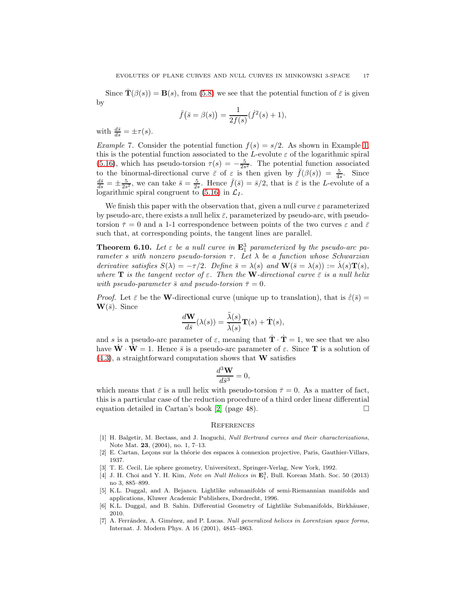Since  $\mathbf{T}(\beta(s)) = \mathbf{B}(s)$ , from [\(5.8\)](#page-6-5) we see that the potential function of  $\bar{\varepsilon}$  is given by

$$
\bar{f}(\bar{s} = \beta(s)) = \frac{1}{2f(s)}(\dot{f}^2(s) + 1),
$$

with  $\frac{d\bar{s}}{ds} = \pm \tau(s)$ .

Example 7. Consider the potential function  $f(s) = s/2$ . As shown in Example [1,](#page-8-4) this is the potential function associated to the L-evolute  $\varepsilon$  of the logarithmic spiral [\(5.16\)](#page-9-0), which has pseudo-torsion  $\tau(s) = -\frac{5}{2s^2}$ . The potential function associated to the binormal-directional curve  $\bar{\varepsilon}$  of  $\varepsilon$  is then given by  $\bar{f}(\beta(s)) = \frac{5}{4s}$ . Since  $\frac{d\bar{s}}{ds} = \pm \frac{5}{2s^2}$ , we can take  $\bar{s} = \frac{5}{2s}$ . Hence  $\bar{f}(\bar{s}) = \bar{s}/2$ , that is  $\bar{\varepsilon}$  is the L-evolute of a logarithmic spiral congruent to  $(5.16)$  in  $\mathcal{L}_I$ .

We finish this paper with the observation that, given a null curve  $\varepsilon$  parameterized by pseudo-arc, there exists a null helix  $\bar{\varepsilon}$ , parameterized by pseudo-arc, with pseudotorsion  $\bar{\tau} = 0$  and a 1-1 correspondence between points of the two curves  $\varepsilon$  and  $\bar{\varepsilon}$ such that, at corresponding points, the tangent lines are parallel.

<span id="page-16-5"></span>**Theorem 6.10.** Let  $\varepsilon$  be a null curve in  $\mathbf{E}_1^3$  parameterized by the pseudo-arc parameter s with nonzero pseudo-torsion  $\tau$ . Let  $\lambda$  be a function whose Schwarzian derivative satisfies  $S(\lambda) = -\tau/2$ . Define  $\bar{s} = \lambda(s)$  and  $\mathbf{W}(\bar{s} = \lambda(s)) := \dot{\lambda}(s)\mathbf{T}(s)$ , where **T** is the tangent vector of  $\varepsilon$ . Then the **W**-directional curve  $\bar{\varepsilon}$  is a null helix with pseudo-parameter  $\bar{s}$  and pseudo-torsion  $\bar{\tau} = 0$ .

*Proof.* Let  $\bar{\varepsilon}$  be the W-directional curve (unique up to translation), that is  $\dot{\bar{\varepsilon}}(\bar{s})$  =  $\mathbf{W}(\bar{s})$ . Since

$$
\frac{d\mathbf{W}}{d\bar{s}}(\lambda(s)) = \frac{\ddot{\lambda}(s)}{\dot{\lambda}(s)}\mathbf{T}(s) + \dot{\mathbf{T}}(s),
$$

and s is a pseudo-arc parameter of  $\varepsilon$ , meaning that  $\dot{\mathbf{T}} \cdot \dot{\mathbf{T}} = 1$ , we see that we also have  $\dot{\mathbf{W}} \cdot \dot{\mathbf{W}} = 1$ . Hence  $\bar{s}$  is a pseudo-arc parameter of  $\varepsilon$ . Since **T** is a solution of  $(4.3)$ , a straightforward computation shows that **W** satisfies

$$
\frac{d^3\mathbf{W}}{d\bar{s}^3} = 0,
$$

which means that  $\bar{\varepsilon}$  is a null helix with pseudo-torsion  $\bar{\tau} = 0$ . As a matter of fact, this is a particular case of the reduction procedure of a third order linear differential equation detailed in Cartan's book [\[2\]](#page-16-7) (page 48).  $\Box$ 

# **REFERENCES**

- <span id="page-16-3"></span>[1] H. Balgetir, M. Bectass, and J. Inoguchi, Null Bertrand curves and their characterizations, Note Mat. 23, (2004), no. 1, 7–13.
- <span id="page-16-7"></span><span id="page-16-0"></span>[2] E. Cartan, Leçons sur la théorie des espaces à connexion projective, Paris, Gauthier-Villars, 1937.
- <span id="page-16-4"></span>[3] T. E. Cecil, Lie sphere geometry, Universitext, Springer-Verlag, New York, 1992.
- [4] J. H. Choi and Y. H. Kim, *Note on Null Helices in*  $\mathbf{E}_1^3$ , Bull. Korean Math. Soc. 50 (2013) no 3, 885–899.
- <span id="page-16-1"></span>[5] K.L. Duggal, and A. Bejancu. Lightlike submanifolds of semi-Riemannian manifolds and applications, Kluwer Academic Publishers, Dordrecht, 1996.
- <span id="page-16-2"></span>[6] K.L. Duggal, and B. Sahin. Differential Geometry of Lightlike Submanifolds, Birkhäuser, 2010.
- <span id="page-16-6"></span>[7] A. Ferrández, A. Giménez, and P. Lucas. Null generalized helices in Lorentzian space forms, Internat. J. Modern Phys. A 16 (2001), 4845–4863.